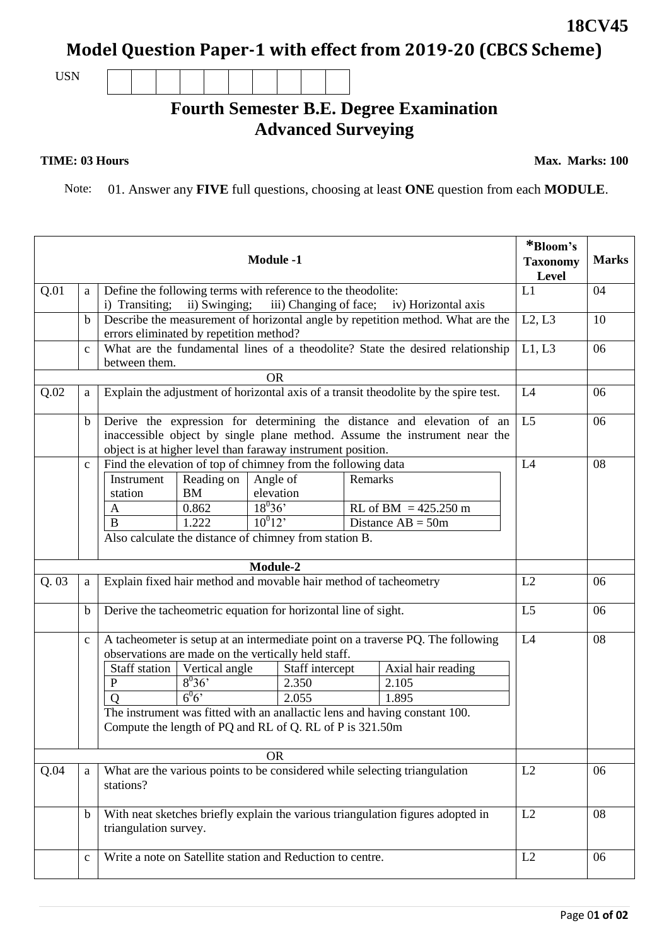**Model Question Paper-1 with effect from 2019-20 (CBCS Scheme)**

USN

## **Fourth Semester B.E. Degree Examination Advanced Surveying**

**TIME: 03 Hours Max. Marks: 100** 

Note: 01. Answer any **FIVE** full questions, choosing at least **ONE** question from each **MODULE**.

| <b>Module -1</b> |                                                                                                                         |                                                                                                                                                                                                                     |                                           |                                                     |                                   |         |                                                                                                                                                                                                       | *Bloom's<br><b>Taxonomy</b><br>Level | <b>Marks</b> |
|------------------|-------------------------------------------------------------------------------------------------------------------------|---------------------------------------------------------------------------------------------------------------------------------------------------------------------------------------------------------------------|-------------------------------------------|-----------------------------------------------------|-----------------------------------|---------|-------------------------------------------------------------------------------------------------------------------------------------------------------------------------------------------------------|--------------------------------------|--------------|
| Q.01             | a                                                                                                                       | Define the following terms with reference to the theodolite:<br>ii) Swinging;<br>iii) Changing of face; iv) Horizontal axis<br>i) Transiting;                                                                       |                                           |                                                     |                                   |         |                                                                                                                                                                                                       |                                      | 04           |
|                  | $\mathbf b$                                                                                                             | Describe the measurement of horizontal angle by repetition method. What are the<br>errors eliminated by repetition method?                                                                                          |                                           |                                                     |                                   |         |                                                                                                                                                                                                       |                                      | 10           |
|                  | $\mathbf c$                                                                                                             | What are the fundamental lines of a theodolite? State the desired relationship<br>between them.                                                                                                                     | L1, L3                                    | 06                                                  |                                   |         |                                                                                                                                                                                                       |                                      |              |
| <b>OR</b>        |                                                                                                                         |                                                                                                                                                                                                                     |                                           |                                                     |                                   |         |                                                                                                                                                                                                       |                                      |              |
| Q.02             | Explain the adjustment of horizontal axis of a transit theodolite by the spire test.<br>a                               |                                                                                                                                                                                                                     |                                           |                                                     |                                   |         |                                                                                                                                                                                                       | L4                                   | 06           |
|                  | b                                                                                                                       | Derive the expression for determining the distance and elevation of an<br>inaccessible object by single plane method. Assume the instrument near the<br>object is at higher level than faraway instrument position. |                                           |                                                     |                                   |         |                                                                                                                                                                                                       |                                      | 06           |
|                  | $\mathbf{C}$                                                                                                            | Find the elevation of top of chimney from the following data<br>Instrument<br>station<br>A<br>$\mathbf{B}$<br>Also calculate the distance of chimney from station B.                                                | Reading on<br><b>BM</b><br>0.862<br>1.222 | Angle of<br>elevation<br>$18^{0}36'$<br>$10^{0}12'$ |                                   | Remarks | RL of BM = $425.250 \text{ m}$<br>Distance $AB = 50m$                                                                                                                                                 | L4                                   | 08           |
|                  | Module-2                                                                                                                |                                                                                                                                                                                                                     |                                           |                                                     |                                   |         |                                                                                                                                                                                                       |                                      |              |
| Q.03             | Explain fixed hair method and movable hair method of tacheometry<br>a                                                   |                                                                                                                                                                                                                     |                                           |                                                     |                                   |         | L2                                                                                                                                                                                                    | 06                                   |              |
|                  | Derive the tacheometric equation for horizontal line of sight.<br>$\mathbf b$                                           |                                                                                                                                                                                                                     |                                           |                                                     |                                   |         | L5                                                                                                                                                                                                    | 06                                   |              |
|                  | $\mathbf{C}$                                                                                                            | observations are made on the vertically held staff.<br>Staff station<br>${\bf P}$<br>$\overline{O}$                                                                                                                 | Vertical angle<br>$8^{0}36'$<br>$6^{0}6'$ |                                                     | Staff intercept<br>2.350<br>2.055 |         | A tacheometer is setup at an intermediate point on a traverse PQ. The following<br>Axial hair reading<br>2.105<br>1.895<br>The instrument was fitted with an anallactic lens and having constant 100. | L4                                   | 08           |
|                  | Compute the length of PQ and RL of Q. RL of P is 321.50m                                                                |                                                                                                                                                                                                                     |                                           |                                                     |                                   |         |                                                                                                                                                                                                       |                                      |              |
| <b>OR</b>        |                                                                                                                         |                                                                                                                                                                                                                     |                                           |                                                     |                                   |         |                                                                                                                                                                                                       |                                      |              |
| Q.04             | a                                                                                                                       | What are the various points to be considered while selecting triangulation<br>stations?                                                                                                                             | L2                                        | 06                                                  |                                   |         |                                                                                                                                                                                                       |                                      |              |
|                  | With neat sketches briefly explain the various triangulation figures adopted in<br>$\mathbf b$<br>triangulation survey. |                                                                                                                                                                                                                     |                                           |                                                     |                                   |         | L2                                                                                                                                                                                                    | 08                                   |              |
|                  | Write a note on Satellite station and Reduction to centre.<br>$\mathbf{C}$                                              |                                                                                                                                                                                                                     |                                           |                                                     |                                   | L2      | 06                                                                                                                                                                                                    |                                      |              |